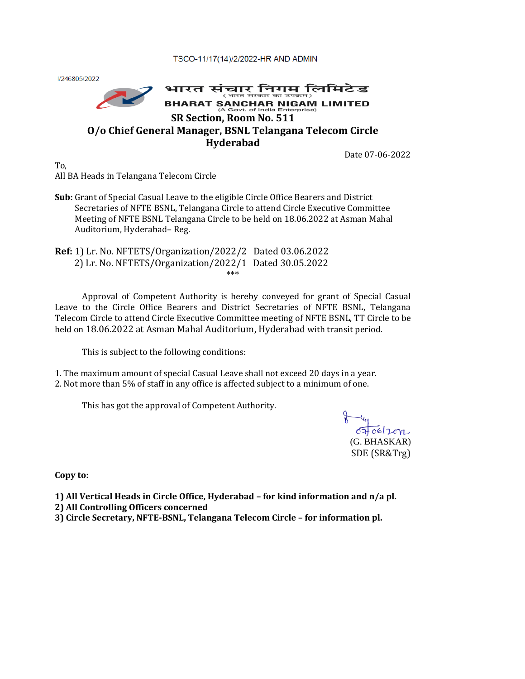TSCO-11/17(14)/2/2022-HR AND ADMIN

I/246805/2022



Date 07-06-2022

To, All BA Heads in Telangana Telecom Circle

- **Sub:** Grant of Special Casual Leave to the eligible Circle Office Bearers and District Secretaries of NFTE BSNL, Telangana Circle to attend Circle Executive Committee Meeting of NFTE BSNL Telangana Circle to be held on 18.06.2022 at Asman Mahal Auditorium, Hyderabad– Reg.
- **Ref:** 1) Lr. No. NFTETS/Organization/2022/2 Dated 03.06.2022 2) Lr. No. NFTETS/Organization/2022/1 Dated 30.05.2022 \*\*\*

Approval of Competent Authority is hereby conveyed for grant of Special Casual Leave to the Circle Office Bearers and District Secretaries of NFTE BSNL, Telangana Telecom Circle to attend Circle Executive Committee meeting of NFTE BSNL, TT Circle to be held on 18.06.2022 at Asman Mahal Auditorium, Hyderabad with transit period.

This is subject to the following conditions:

1. The maximum amount of special Casual Leave shall not exceed 20 days in a year. 2. Not more than 5% of staff in any office is affected subject to a minimum of one.

This has got the approval of Competent Authority.

 $070612072$ (G. BHASKAR) SDE (SR&Trg)

**Copy to:**

**1) All Vertical Heads in Circle Office, Hyderabad – for kind information and n/a pl.**

- **2) All Controlling Officers concerned**
- **3) Circle Secretary, NFTE-BSNL, Telangana Telecom Circle – for information pl.**